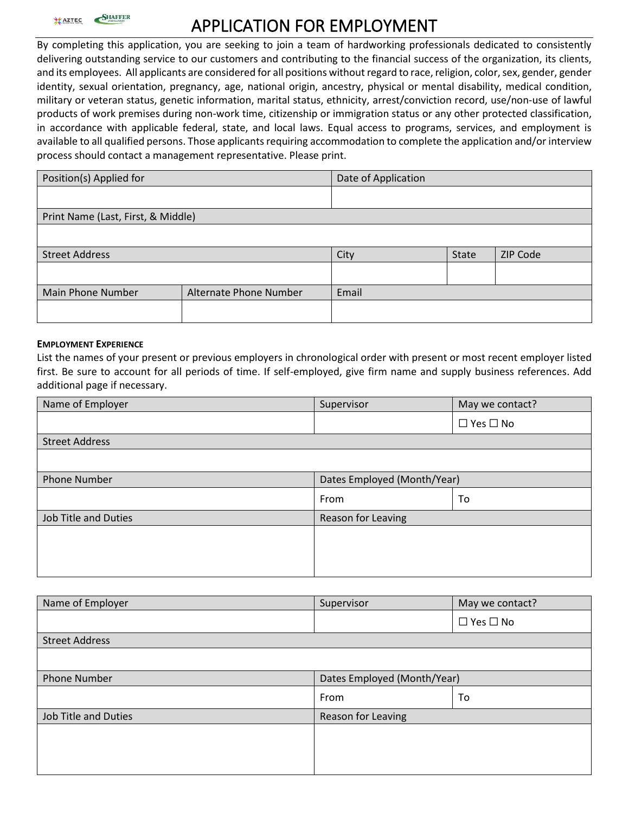

# **APPLICATION FOR EMPLOYMENT**

By completing this application, you are seeking to join a team of hardworking professionals dedicated to consistently delivering outstanding service to our customers and contributing to the financial success of the organization, its clients, and its employees. All applicants are considered for all positions without regard to race, religion, color, sex, gender, gender identity, sexual orientation, pregnancy, age, national origin, ancestry, physical or mental disability, medical condition, military or veteran status, genetic information, marital status, ethnicity, arrest/conviction record, use/non-use of lawful products of work premises during non-work time, citizenship or immigration status or any other protected classification, in accordance with applicable federal, state, and local laws. Equal access to programs, services, and employment is available to all qualified persons. Those applicants requiring accommodation to complete the application and/or interview process should contact a management representative. Please print.

| Position(s) Applied for            | Date of Application    |       |       |                 |  |  |
|------------------------------------|------------------------|-------|-------|-----------------|--|--|
|                                    |                        |       |       |                 |  |  |
| Print Name (Last, First, & Middle) |                        |       |       |                 |  |  |
|                                    |                        |       |       |                 |  |  |
| <b>Street Address</b>              |                        | City  | State | <b>ZIP Code</b> |  |  |
|                                    |                        |       |       |                 |  |  |
| Main Phone Number                  | Alternate Phone Number | Email |       |                 |  |  |
|                                    |                        |       |       |                 |  |  |

#### **EMPLOYMENT EXPERIENCE**

List the names of your present or previous employers in chronological order with present or most recent employer listed first. Be sure to account for all periods of time. If self-employed, give firm name and supply business references. Add additional page if necessary.

| Name of Employer      | Supervisor                  | May we contact?      |  |  |
|-----------------------|-----------------------------|----------------------|--|--|
|                       |                             | $\Box$ Yes $\Box$ No |  |  |
| <b>Street Address</b> |                             |                      |  |  |
|                       |                             |                      |  |  |
| <b>Phone Number</b>   | Dates Employed (Month/Year) |                      |  |  |
|                       | From                        | To                   |  |  |
| Job Title and Duties  | Reason for Leaving          |                      |  |  |
|                       |                             |                      |  |  |
|                       |                             |                      |  |  |
|                       |                             |                      |  |  |

| Name of Employer            | Supervisor                  | May we contact?      |
|-----------------------------|-----------------------------|----------------------|
|                             |                             | $\Box$ Yes $\Box$ No |
| <b>Street Address</b>       |                             |                      |
|                             |                             |                      |
| <b>Phone Number</b>         | Dates Employed (Month/Year) |                      |
|                             | From                        | To                   |
| <b>Job Title and Duties</b> | Reason for Leaving          |                      |
|                             |                             |                      |
|                             |                             |                      |
|                             |                             |                      |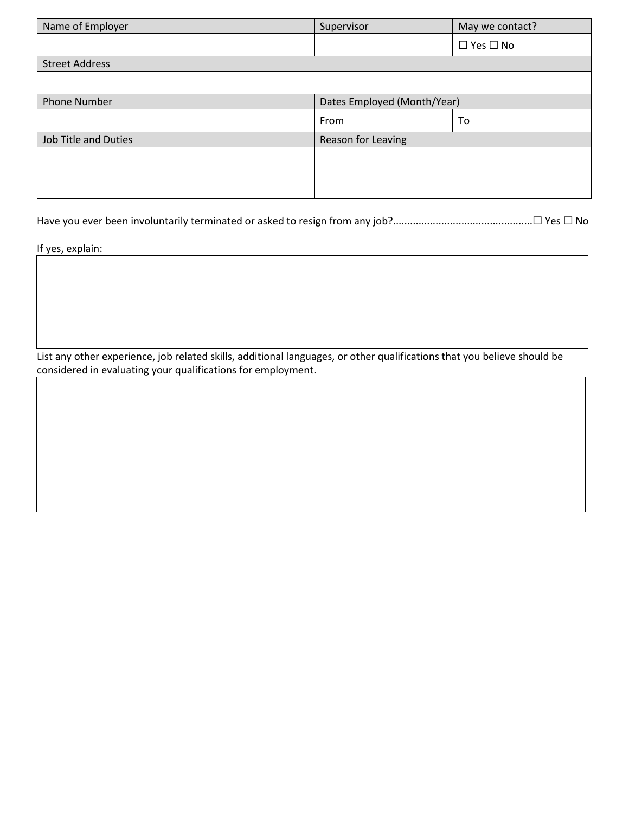| Name of Employer            | Supervisor                  | May we contact?      |
|-----------------------------|-----------------------------|----------------------|
|                             |                             | $\Box$ Yes $\Box$ No |
| <b>Street Address</b>       |                             |                      |
|                             |                             |                      |
| <b>Phone Number</b>         | Dates Employed (Month/Year) |                      |
|                             | From                        | To                   |
| <b>Job Title and Duties</b> | Reason for Leaving          |                      |
|                             |                             |                      |
|                             |                             |                      |
|                             |                             |                      |

Have you ever been involuntarily terminated or asked to resign from any job?.................................................☐ Yes ☐ No

If yes, explain:

List any other experience, job related skills, additional languages, or other qualifications that you believe should be considered in evaluating your qualifications for employment.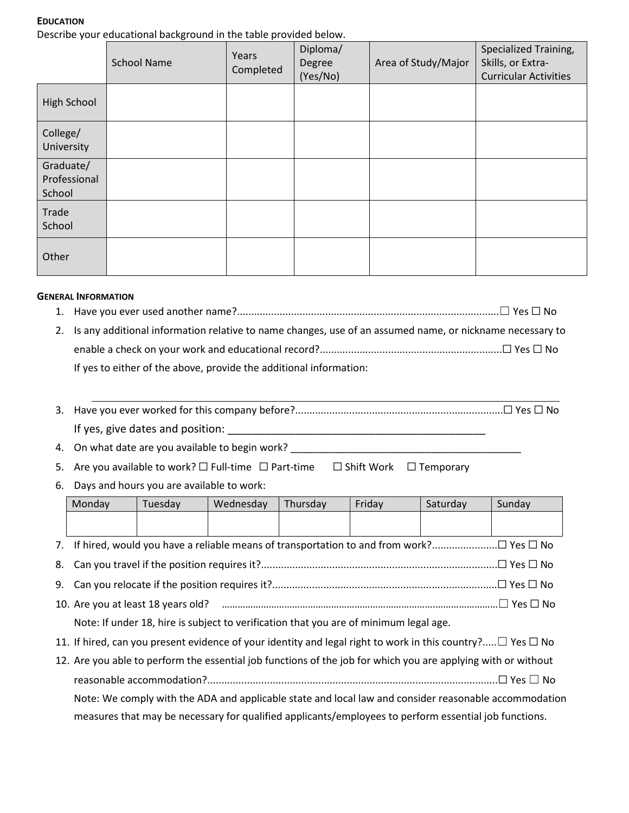#### **EDUCATION**

Describe your educational background in the table provided below.

|                                     | <b>School Name</b> | Years<br>Completed | Diploma/<br>Degree<br>(Yes/No) | Area of Study/Major | Specialized Training,<br>Skills, or Extra-<br><b>Curricular Activities</b> |
|-------------------------------------|--------------------|--------------------|--------------------------------|---------------------|----------------------------------------------------------------------------|
| High School                         |                    |                    |                                |                     |                                                                            |
| College/<br>University              |                    |                    |                                |                     |                                                                            |
| Graduate/<br>Professional<br>School |                    |                    |                                |                     |                                                                            |
| Trade<br>School                     |                    |                    |                                |                     |                                                                            |
| Other                               |                    |                    |                                |                     |                                                                            |

#### **GENERAL INFORMATION**

- 1. Have you ever used another name?............................................................................................☐ Yes ☐ No 2. Is any additional information relative to name changes, use of an assumed name, or nickname necessary to
- enable a check on your work and educational record?................................................................☐ Yes ☐ No If yes to either of the above, provide the additional information:
- 3. Have you ever worked for this company before?.........................................................................☐ Yes ☐ No If yes, give dates and position:

4. On what date are you available to begin work? \_\_\_\_\_\_\_\_\_\_\_\_\_\_\_\_\_\_\_\_\_\_\_\_\_\_\_\_\_\_\_

5. Are you available to work? □ Full-time □ Part-time □ Shift Work □ Temporary

6. Days and hours you are available to work:

| Monday                                                                                                                | Tuesday                                                                                               | Wednesday | Thursday | Friday | Saturday | Sunday |
|-----------------------------------------------------------------------------------------------------------------------|-------------------------------------------------------------------------------------------------------|-----------|----------|--------|----------|--------|
|                                                                                                                       |                                                                                                       |           |          |        |          |        |
|                                                                                                                       |                                                                                                       |           |          |        |          |        |
|                                                                                                                       |                                                                                                       |           |          |        |          |        |
|                                                                                                                       |                                                                                                       |           |          |        |          |        |
|                                                                                                                       |                                                                                                       |           |          |        |          |        |
| Note: If under 18, hire is subject to verification that you are of minimum legal age.                                 |                                                                                                       |           |          |        |          |        |
| 11. If hired, can you present evidence of your identity and legal right to work in this country? $\Box$ Yes $\Box$ No |                                                                                                       |           |          |        |          |        |
| 12. Are you able to perform the essential job functions of the job for which you are applying with or without         |                                                                                                       |           |          |        |          |        |
|                                                                                                                       |                                                                                                       |           |          |        |          |        |
| Note: We comply with the ADA and applicable state and local law and consider reasonable accommodation                 |                                                                                                       |           |          |        |          |        |
|                                                                                                                       | measures that may be necessary for qualified applicants/employees to perform essential job functions. |           |          |        |          |        |